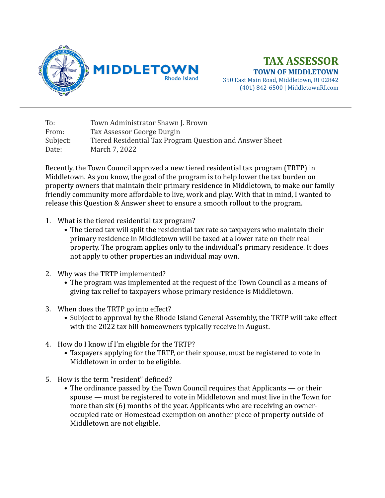

## **TAX ASSESSOR TOWN OF MIDDLETOWN**

350 East Main Road, Middletown, RI 02842 (401) 842-6500 | MiddletownRI.com

To: Town Administrator Shawn J. Brown From: Tax Assessor George Durgin Subject: Tiered Residential Tax Program Question and Answer Sheet Date: March 7, 2022

Recently, the Town Council approved a new tiered residential tax program (TRTP) in Middletown. As you know, the goal of the program is to help lower the tax burden on property owners that maintain their primary residence in Middletown, to make our family friendly community more affordable to live, work and play. With that in mind, I wanted to release this Question & Answer sheet to ensure a smooth rollout to the program.

- 1. What is the tiered residential tax program?
	- The tiered tax will split the residential tax rate so taxpayers who maintain their primary residence in Middletown will be taxed at a lower rate on their real property. The program applies only to the individual's primary residence. It does not apply to other properties an individual may own.
- 2. Why was the TRTP implemented?
	- The program was implemented at the request of the Town Council as a means of giving tax relief to taxpayers whose primary residence is Middletown.
- 3. When does the TRTP go into effect?
	- Subject to approval by the Rhode Island General Assembly, the TRTP will take effect with the 2022 tax bill homeowners typically receive in August.
- 4. How do I know if I'm eligible for the TRTP?
	- Taxpayers applying for the TRTP, or their spouse, must be registered to vote in Middletown in order to be eligible.
- 5. How is the term "resident" defined?
	- The ordinance passed by the Town Council requires that Applicants or their spouse — must be registered to vote in Middletown and must live in the Town for more than  $\sin(6)$  months of the year. Applicants who are receiving an owneroccupied rate or Homestead exemption on another piece of property outside of Middletown are not eligible.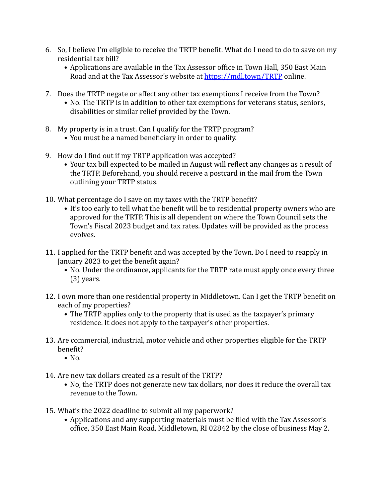- 6. So, I believe I'm eligible to receive the TRTP benefit. What do I need to do to save on my residential tax bill?
	- Applications are available in the Tax Assessor office in Town Hall, 350 East Main Road and at the Tax Assessor's website at https://mdl.town/TRTP online.
- 7. Does the TRTP negate or affect any other tax exemptions I receive from the Town?
	- No. The TRTP is in addition to other tax exemptions for veterans status, seniors, disabilities or similar relief provided by the Town.
- 8. My property is in a trust. Can I qualify for the TRTP program?
	- You must be a named beneficiary in order to qualify.
- 9. How do I find out if my TRTP application was accepted?
	- Your tax bill expected to be mailed in August will reflect any changes as a result of the TRTP. Beforehand, you should receive a postcard in the mail from the Town outlining your TRTP status.
- 10. What percentage do I save on my taxes with the TRTP benefit?
	- It's too early to tell what the benefit will be to residential property owners who are approved for the TRTP. This is all dependent on where the Town Council sets the Town's Fiscal 2023 budget and tax rates. Updates will be provided as the process evolves.
- 11. I applied for the TRTP benefit and was accepted by the Town. Do I need to reapply in January 2023 to get the benefit again?
	- No. Under the ordinance, applicants for the TRTP rate must apply once every three  $(3)$  years.
- 12. I own more than one residential property in Middletown. Can I get the TRTP benefit on each of my properties?
	- The TRTP applies only to the property that is used as the taxpayer's primary residence. It does not apply to the taxpayer's other properties.
- 13. Are commercial, industrial, motor vehicle and other properties eligible for the TRTP benefit?
	- $\bullet$  No.
- 14. Are new tax dollars created as a result of the TRTP?
	- No, the TRTP does not generate new tax dollars, nor does it reduce the overall tax revenue to the Town.
- 15. What's the 2022 deadline to submit all my paperwork?
	- Applications and any supporting materials must be filed with the Tax Assessor's office, 350 East Main Road, Middletown, RI 02842 by the close of business May 2.